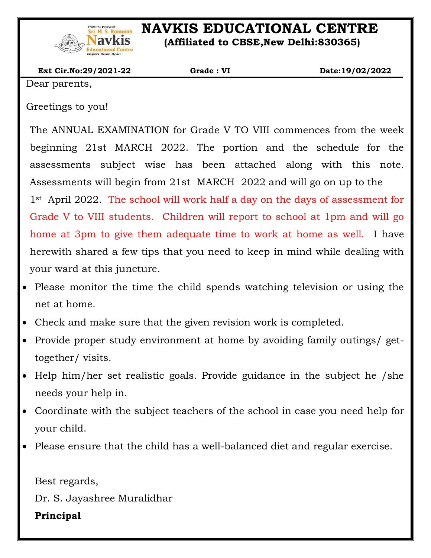

# **STAR ENAVIONAL CENTRE**<br>Navkis (Afflicted to CBSF New Delbi:830365)

 **(Affiliated to CBSE,New Delhi:830365)**

| <b>Ext Cir.No:29/2021-22</b> | Grade: VI | Date:19/02/2022 |
|------------------------------|-----------|-----------------|
| $D$ oon monato               |           |                 |

Dear parents,

Greetings to you!

The ANNUAL EXAMINATION for Grade V TO VIII commences from the week beginning 21st MARCH 2022. The portion and the schedule for the assessments subject wise has been attached along with this note. Assessments will begin from 21st MARCH 2022 and will go on up to the 1st April 2022. The school will work half a day on the days of assessment for Grade V to VIII students. Children will report to school at 1pm and will go home at 3pm to give them adequate time to work at home as well. I have herewith shared a few tips that you need to keep in mind while dealing with your ward at this juncture.

- Please monitor the time the child spends watching television or using the net at home.
- Check and make sure that the given revision work is completed.
- Provide proper study environment at home by avoiding family outings/ gettogether/ visits.
- Help him/her set realistic goals. Provide guidance in the subject he /she needs your help in.
- Coordinate with the subject teachers of the school in case you need help for your child.
- Please ensure that the child has a well-balanced diet and regular exercise.

Best regards,

Dr. S. Jayashree Muralidhar

#### **Principal**

 $\overline{\phantom{a}}$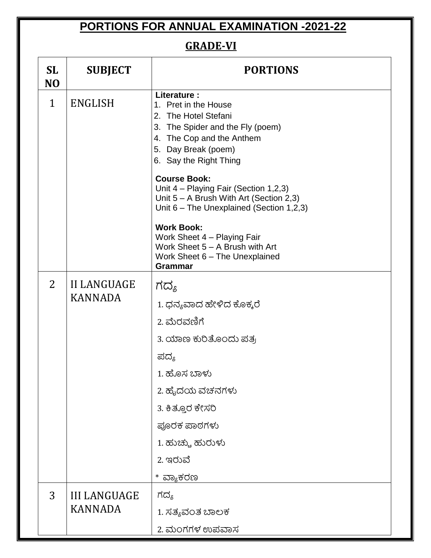## **PORTIONS FOR ANNUAL EXAMINATION -2021-22**

### **GRADE-VI**

| <b>SL</b><br>N <sub>O</sub> | <b>SUBJECT</b>      | <b>PORTIONS</b>                                                                                                                                                               |  |
|-----------------------------|---------------------|-------------------------------------------------------------------------------------------------------------------------------------------------------------------------------|--|
| $\mathbf{1}$                | <b>ENGLISH</b>      | Literature:<br>1. Pret in the House<br>2. The Hotel Stefani<br>3. The Spider and the Fly (poem)<br>4. The Cop and the Anthem<br>5. Day Break (poem)<br>6. Say the Right Thing |  |
|                             |                     | <b>Course Book:</b><br>Unit 4 - Playing Fair (Section 1,2,3)<br>Unit $5 - A$ Brush With Art (Section 2,3)<br>Unit 6 - The Unexplained (Section 1,2,3)                         |  |
|                             |                     | <b>Work Book:</b><br>Work Sheet 4 - Playing Fair<br>Work Sheet 5 - A Brush with Art<br>Work Sheet 6 - The Unexplained<br><b>Grammar</b>                                       |  |
| 2                           | <b>II LANGUAGE</b>  | ಗದ್ಯ                                                                                                                                                                          |  |
|                             | <b>KANNADA</b>      | 1. ಧನ್ಯವಾದ ಹೇಳಿದ ಕೊಕ್ಕರೆ                                                                                                                                                      |  |
|                             |                     | 2. ಮೆರವಣಿಗೆ                                                                                                                                                                   |  |
|                             |                     | 3. ಯಾಣ ಕುರಿತೊಂದು ಪತ್ರ                                                                                                                                                         |  |
|                             |                     | ಪದ್ಯ                                                                                                                                                                          |  |
|                             |                     | 1. ಹೊಸ ಬಾಳು                                                                                                                                                                   |  |
|                             |                     | 2. ಹೈದಯ ವಚನಗಳು                                                                                                                                                                |  |
|                             |                     | 3. ಕಿತ್ತೂರ ಕೇಸರಿ                                                                                                                                                              |  |
|                             |                     | ಪೂರಕ ಪಾಠಗಳು                                                                                                                                                                   |  |
|                             |                     | 1. ಹುಚ್ಚು ಹುರುಳು                                                                                                                                                              |  |
|                             |                     | 2. ಇರುವೆ                                                                                                                                                                      |  |
|                             |                     | * ವ್ಯಾಕರಣ                                                                                                                                                                     |  |
| 3                           | <b>III LANGUAGE</b> | ಗದ್ಯ                                                                                                                                                                          |  |
|                             | <b>KANNADA</b>      | 1. ಸತ್ಯವಂತ ಬಾಲಕ                                                                                                                                                               |  |
|                             |                     | 2. ಮಂಗಗಳ ಉಪವಾಸ                                                                                                                                                                |  |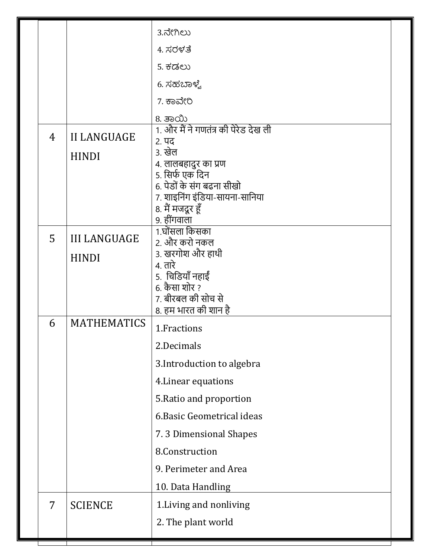|                |                     | 3.ನೇಗಿಲು                                      |  |
|----------------|---------------------|-----------------------------------------------|--|
|                |                     | 4. ಸರಳತೆ                                      |  |
|                |                     | <u>5. ಕಡಲು</u>                                |  |
|                |                     | 6. ಸಹಬಾಳ್ವೆ                                   |  |
|                |                     | 7. ಕಾವೇರಿ                                     |  |
|                |                     | 8. ತಾಯಿ                                       |  |
| 4              | <b>II LANGUAGE</b>  | 1. और मैं ने गणतंत्र की पेरेड देख ली<br>२. पद |  |
|                | <b>HINDI</b>        | ३. खेल                                        |  |
|                |                     | 4. लालबहादुर का प्रण<br>5. सिर्फ एक दिन       |  |
|                |                     | 6. पेडों के संग बढना सीखो                     |  |
|                |                     | 7. शाइनिंग इंडिया-सायना-सानिया                |  |
|                |                     | 8. मैं मजदूर हूँ<br>9. हींगवाला               |  |
| 5              | <b>III LANGUAGE</b> | 1.घोंसला किसका                                |  |
|                |                     | 2. और करो नकल<br>3. खरगोश और हाथी             |  |
|                | <b>HINDI</b>        | 4. तारे                                       |  |
|                |                     | 5. चिडियाँ नहाईं<br>6. कैसा शोर ?             |  |
|                |                     | 7. बीरबल की सोच से                            |  |
| 6              | <b>MATHEMATICS</b>  | 8. हम भारत की शान है                          |  |
|                |                     | 1. Fractions                                  |  |
|                |                     | 2.Decimals                                    |  |
|                |                     | 3. Introduction to algebra                    |  |
|                |                     | 4. Linear equations                           |  |
|                |                     | 5. Ratio and proportion                       |  |
|                |                     | 6. Basic Geometrical ideas                    |  |
|                |                     | 7.3 Dimensional Shapes                        |  |
|                |                     | 8.Construction                                |  |
|                |                     | 9. Perimeter and Area                         |  |
|                |                     | 10. Data Handling                             |  |
| $\overline{7}$ | <b>SCIENCE</b>      | 1. Living and nonliving                       |  |
|                |                     | 2. The plant world                            |  |
|                |                     |                                               |  |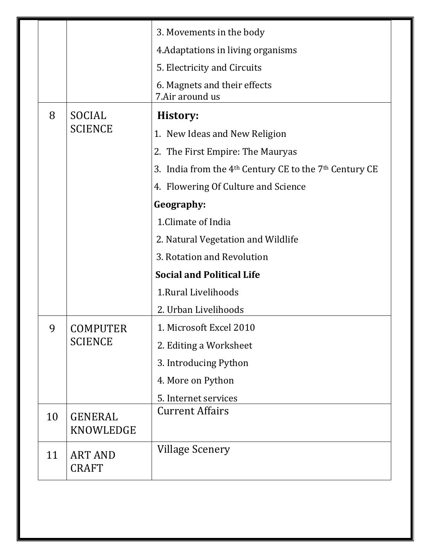|    |                                | 3. Movements in the body                                   |
|----|--------------------------------|------------------------------------------------------------|
|    |                                | 4. Adaptations in living organisms                         |
|    |                                | 5. Electricity and Circuits                                |
|    |                                | 6. Magnets and their effects<br>7.Air around us            |
| 8  | SOCIAL                         | History:                                                   |
|    | <b>SCIENCE</b>                 | 1. New Ideas and New Religion                              |
|    |                                | 2. The First Empire: The Mauryas                           |
|    |                                | 3. India from the $4th$ Century CE to the $7th$ Century CE |
|    |                                | 4. Flowering Of Culture and Science                        |
|    |                                | Geography:                                                 |
|    |                                | 1. Climate of India                                        |
|    |                                | 2. Natural Vegetation and Wildlife                         |
|    |                                | 3. Rotation and Revolution                                 |
|    |                                | <b>Social and Political Life</b>                           |
|    |                                | 1. Rural Livelihoods                                       |
|    |                                | 2. Urban Livelihoods                                       |
| 9  | COMPUTER                       | 1. Microsoft Excel 2010                                    |
|    | <b>SCIENCE</b>                 | 2. Editing a Worksheet                                     |
|    |                                | 3. Introducing Python                                      |
|    |                                | 4. More on Python                                          |
|    |                                | 5. Internet services                                       |
| 10 | <b>GENERAL</b><br>KNOWLEDGE    | <b>Current Affairs</b>                                     |
| 11 | <b>ART AND</b><br><b>CRAFT</b> | Village Scenery                                            |

 $\overline{\phantom{a}}$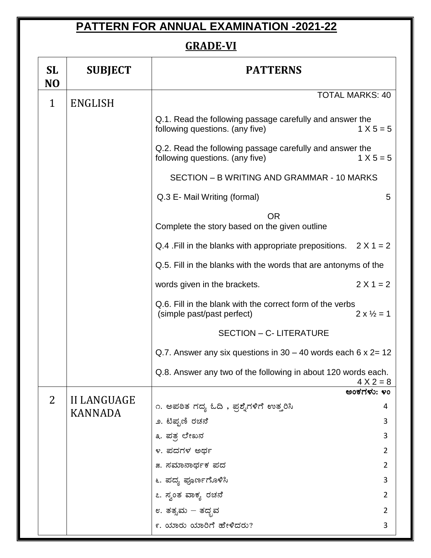## **PATTERN FOR ANNUAL EXAMINATION -2021-22**

#### **GRADE-VI**

| <b>SL</b><br>N <sub>O</sub> | <b>SUBJECT</b>     | <b>PATTERNS</b>                                                                             |                            |
|-----------------------------|--------------------|---------------------------------------------------------------------------------------------|----------------------------|
| $\mathbf{1}$                | <b>ENGLISH</b>     | <b>TOTAL MARKS: 40</b>                                                                      |                            |
|                             |                    | Q.1. Read the following passage carefully and answer the<br>following questions. (any five) | $1 X 5 = 5$                |
|                             |                    | Q.2. Read the following passage carefully and answer the<br>following questions. (any five) | $1 X 5 = 5$                |
|                             |                    | SECTION - B WRITING AND GRAMMAR - 10 MARKS                                                  |                            |
|                             |                    | Q.3 E- Mail Writing (formal)                                                                | 5                          |
|                             |                    | <b>OR</b><br>Complete the story based on the given outline                                  |                            |
|                             |                    | Q.4 . Fill in the blanks with appropriate prepositions. $2 \times 1 = 2$                    |                            |
|                             |                    | Q.5. Fill in the blanks with the words that are antonyms of the                             |                            |
|                             |                    | $2 X 1 = 2$<br>words given in the brackets.                                                 |                            |
|                             |                    | Q.6. Fill in the blank with the correct form of the verbs<br>(simple past/past perfect)     | $2 \times \frac{1}{2} = 1$ |
|                             |                    | <b>SECTION - C- LITERATURE</b>                                                              |                            |
|                             |                    | Q.7. Answer any six questions in $30 - 40$ words each 6 x 2= 12                             |                            |
|                             |                    | Q.8. Answer any two of the following in about 120 words each.<br>$4 X 2 = 8$                |                            |
| $\overline{2}$              | <b>II LANGUAGE</b> |                                                                                             | ಅಂಕಗಳು: ೪೦                 |
|                             | <b>KANNADA</b>     | ೧. ಅಪಠಿತ ಗದ್ಯ ಓದಿ , ಪ್ರಶೈಗಳಿಗೆ ಉತ್ತರಿಸಿ                                                     | 4                          |
|                             |                    | ೨. ಟಿಪ್ಬಣಿ ರಚನೆ                                                                             | 3                          |
|                             |                    | ೩. ಪತ್ರ ಲೇಖನ<br>೪. ಪದಗಳ ಅರ್ಥ                                                                | 3<br>$\overline{2}$        |
|                             |                    | ೫. ಸಮಾನಾರ್ಥಕ ಪದ                                                                             | $\overline{2}$             |
|                             |                    | ೬. ಪದ್ಯ ಪೂರ್ಣಗೊಳಿಸಿ                                                                         | 3                          |
|                             |                    | ೭. ಸ್ವಂತ ವಾಕ್ಯ ರಚನೆ                                                                         | $\overline{2}$             |
|                             |                    | ೮. ತತ್ಸಮ – ತದ್ಭವ                                                                            | $\overline{2}$             |
|                             |                    | ೯. ಯಾರು ಯಾರಿಗೆ ಹೇಳಿದರು?                                                                     | 3                          |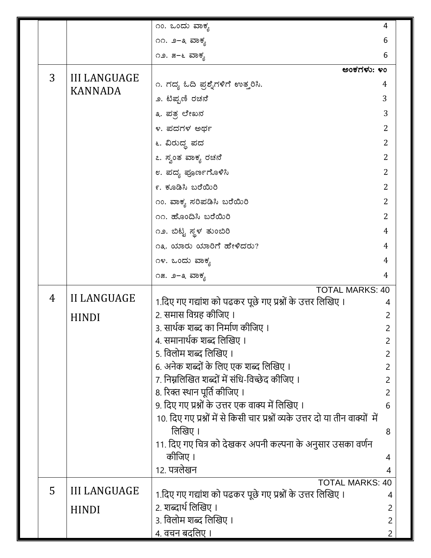|   |                     | ೧೦. ಒಂದು ವಾಕ್ಯ                                                                 | 4              |
|---|---------------------|--------------------------------------------------------------------------------|----------------|
|   |                     | ೧೧. ೨–೩ ವಾಕ್ಯ                                                                  | 6              |
|   |                     | ೧೨. ೫–೬ ವಾಕ್ಯ                                                                  | 6              |
| 3 | <b>III LANGUAGE</b> | ಅಂಕಗಳು: ೪೦                                                                     |                |
|   | <b>KANNADA</b>      | ೧. ಗದ್ಯ ಓದಿ ಪ್ರಶ್ನೆಗಳಿಗೆ ಉತ್ತರಿಸಿ.                                             | 4              |
|   |                     | ೨. ಟಿಪ್ಬಣಿ ರಚನೆ                                                                | 3              |
|   |                     | ೩. ಪತ್ರ ಲೇಖನ                                                                   | 3              |
|   |                     | ೪. ಪದಗಳ ಅರ್ಥ                                                                   | 2              |
|   |                     | ೬. ವಿರುದ್ಧ ಪದ                                                                  | $\overline{2}$ |
|   |                     | ೭. ಸ್ವಂತ ವಾಕ್ಯ ರಚನೆ                                                            | 2              |
|   |                     | ೮. ಪದ್ಯ ಪೂರ್ಣಗೊಳಿಸಿ                                                            | 2              |
|   |                     | ೯. ಕೂಡಿಸಿ ಬರೆಯಿರಿ                                                              | $\overline{2}$ |
|   |                     | ೧೦. ವಾಕ್ಯ ಸರಿಪಡಿಸಿ ಬರೆಯಿರಿ                                                     | 2              |
|   |                     | ೧೧. ಹೊಂದಿಸಿ ಬರೆಯಿರಿ                                                            | $\overline{2}$ |
|   |                     | ೧೨. ಬಿಟ್ಟ ಸ್ಥಳ ತುಂಬಿರಿ                                                         | 4              |
|   |                     | ೧೩. ಯಾರು ಯಾರಿಗೆ ಹೇಳಿದರು?                                                       | 4              |
|   |                     | ೧೪. ಒಂದು ವಾಕ್ಯ                                                                 | 4              |
|   |                     | ೧೫. ೨–೩ ವಾಕ್ಯ                                                                  | 4              |
| 4 | <b>II LANGUAGE</b>  | <b>TOTAL MARKS: 40</b>                                                         |                |
|   |                     | 1.दिए गए गद्यांश को पढकर पूछे गए प्रश्नों के उत्तर लिखिए ।                     | 4              |
|   | <b>HINDI</b>        | 2. समास विग्रह कीजिए ।<br>3. सार्थक शब्द का निर्माण कीजिए ।                    | 2              |
|   |                     | 4. समानार्थक शब्द लिखिए ।                                                      | 2<br>2         |
|   |                     | 5. विलोम शब्द लिखिए ।                                                          | 2              |
|   |                     | 6. अनेक शब्दों के लिए एक शब्द लिखिए ।                                          | 2              |
|   |                     | 7. निम्नलिखित शब्दों में संधि-विच्छेद कीजिए ।                                  | 2              |
|   |                     | 8. रिक्त स्थान पूर्ति कीजिए ।                                                  | 2              |
|   |                     | 9. दिए गए प्रश्नों के उत्तर एक वाक्य में लिखिए ।                               | 6              |
|   |                     | 10. दिए गए प्रश्नों में से किसी चार प्रश्नों व्यके उत्तर दो या तीन वाक्यों में |                |
|   |                     | लिखिए ।                                                                        | 8              |
|   |                     | 11. दिए गए चित्र को देखकर अपनी कल्पना के अनुसार उसका वर्णन<br>कीजिए ।          |                |
|   |                     | 12. पत्रलेखन                                                                   | 4<br>4         |
|   |                     | <b>TOTAL MARKS: 40</b>                                                         |                |
| 5 | <b>III LANGUAGE</b> | 1.दिए गए गद्यांश को पढकर पूछे गए प्रश्नों के उत्तर लिखिए ।                     | 4              |
|   | <b>HINDI</b>        | 2. शब्दार्थ लिखिए ।                                                            | 2              |
|   |                     | ३. विलोम शब्द लिखिए ।                                                          | $\overline{2}$ |
|   |                     | 4. वचन बदलिए ।                                                                 |                |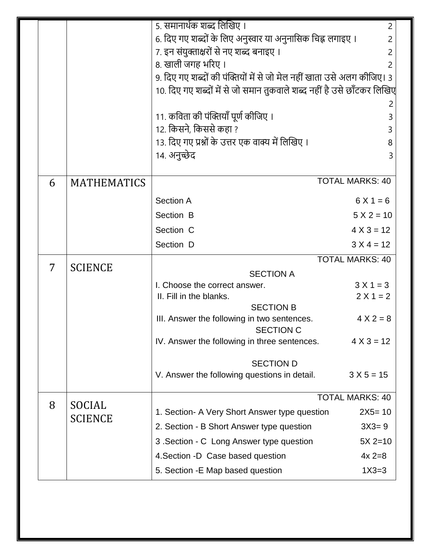|   |                          | 5. समानार्थक शब्द लिखिए ।<br>$\overline{2}$                            |                        |  |
|---|--------------------------|------------------------------------------------------------------------|------------------------|--|
|   |                          | 6. दिए गए शब्दों के लिए अनुस्वार या अनुनासिक चिह्न लगाइए ।<br>2        |                        |  |
|   |                          | 7. इन संयुक्ताक्षरों से नए शब्द बनाइए ।<br>2                           |                        |  |
|   |                          | 8. खाली जगह भरिए।<br>2                                                 |                        |  |
|   |                          | 9. दिए गए शब्दों की पंक्तियों में से जो मेल नहीं खाता उसे अलग कीजिए। 3 |                        |  |
|   |                          | 10. दिए गए शब्दों में से जो समान तुकवाले शब्द नहीं है उसे छाँटकर लिखिए |                        |  |
|   |                          |                                                                        |                        |  |
|   |                          | 11. कविता की पंक्तियाँ पूर्ण कीजिए ।                                   | 3                      |  |
|   |                          | 12. किसने, किससे कहा ?                                                 | 3                      |  |
|   |                          | 13. दिए गए प्रश्नों के उत्तर एक वाक्य में लिखिए ।                      | 8                      |  |
|   |                          | 14. अनुच्छेद                                                           | 3                      |  |
| 6 | <b>MATHEMATICS</b>       |                                                                        | <b>TOTAL MARKS: 40</b> |  |
|   |                          | <b>Section A</b>                                                       | $6X1 = 6$              |  |
|   |                          | Section B                                                              | $5 X 2 = 10$           |  |
|   |                          | Section C                                                              | $4 X 3 = 12$           |  |
|   |                          | Section D                                                              | $3 X 4 = 12$           |  |
|   |                          |                                                                        |                        |  |
| 7 | <b>SCIENCE</b>           | <b>TOTAL MARKS: 40</b>                                                 |                        |  |
|   |                          | <b>SECTION A</b><br>I. Choose the correct answer.<br>$3 X 1 = 3$       |                        |  |
|   |                          | II. Fill in the blanks.                                                | $2 X 1 = 2$            |  |
|   |                          | <b>SECTION B</b>                                                       |                        |  |
|   |                          | III. Answer the following in two sentences.                            | $4 X 2 = 8$            |  |
|   |                          | <b>SECTION C</b><br>IV. Answer the following in three sentences.       | $4 X 3 = 12$           |  |
|   |                          |                                                                        |                        |  |
|   |                          | <b>SECTION D</b>                                                       |                        |  |
|   |                          | V. Answer the following questions in detail.<br>$3 X 5 = 15$           |                        |  |
|   |                          | <b>TOTAL MARKS: 40</b>                                                 |                        |  |
| 8 | SOCIAL<br><b>SCIENCE</b> | 1. Section- A Very Short Answer type question<br>$2X5 = 10$            |                        |  |
|   |                          | 2. Section - B Short Answer type question<br>$3X3 = 9$                 |                        |  |
|   |                          | $5X 2=10$<br>3 . Section - C Long Answer type question                 |                        |  |
|   |                          | $4x 2=8$<br>4. Section -D Case based question                          |                        |  |
|   |                          | $1X3=3$<br>5. Section - E Map based question                           |                        |  |
|   |                          |                                                                        |                        |  |